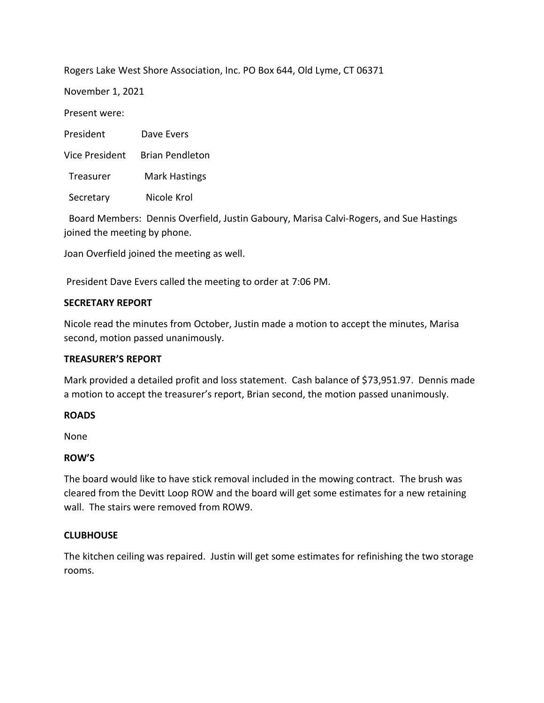Rogers Lake West Shore Association, Inc. PO Box 644, Old Lyme, CT 06371

November 1, 2021

Present were:

| President             | Dave Evers             |
|-----------------------|------------------------|
| <b>Vice President</b> | <b>Brian Pendleton</b> |
| Treasurer             | <b>Mark Hastings</b>   |
| Secretary             | Nicole Krol            |

 Board Members: Dennis Overfield, Justin Gaboury, Marisa Calvi-Rogers, and Sue Hastings joined the meeting by phone.

Joan Overfield joined the meeting as well.

President Dave Evers called the meeting to order at 7:06 PM.

## **SECRETARY REPORT**

Nicole read the minutes from October, Justin made a motion to accept the minutes, Marisa second, motion passed unanimously.

## **TREASURER'S REPORT**

Mark provided a detailed profit and loss statement. Cash balance of \$73,951.97. Dennis made a motion to accept the treasurer's report, Brian second, the motion passed unanimously.

## **ROADS**

None

# **ROW'S**

The board would like to have stick removal included in the mowing contract. The brush was cleared from the Devitt Loop ROW and the board will get some estimates for a new retaining wall. The stairs were removed from ROW9.

# **CLUBHOUSE**

The kitchen ceiling was repaired. Justin will get some estimates for refinishing the two storage rooms.